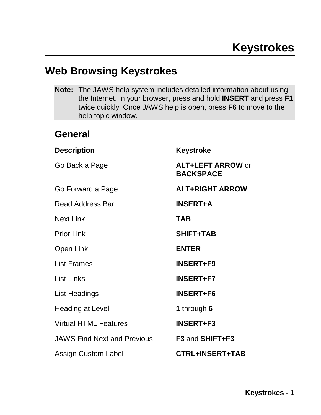## **Web Browsing Keystrokes**

**Note:** The JAWS help system includes detailed information about using the Internet. In your browser, press and hold **INSERT** and press **F1** twice quickly. Once JAWS help is open, press **F6** to move to the help topic window.

### **General**

| <b>Description</b>                 | <b>Keystroke</b>                             |
|------------------------------------|----------------------------------------------|
| Go Back a Page                     | <b>ALT+LEFT ARROW or</b><br><b>BACKSPACE</b> |
| Go Forward a Page                  | <b>ALT+RIGHT ARROW</b>                       |
| <b>Read Address Bar</b>            | <b>INSERT+A</b>                              |
| <b>Next Link</b>                   | <b>TAB</b>                                   |
| <b>Prior Link</b>                  | <b>SHIFT+TAB</b>                             |
| Open Link                          | <b>ENTER</b>                                 |
| <b>List Frames</b>                 | <b>INSERT+F9</b>                             |
| <b>List Links</b>                  | <b>INSERT+F7</b>                             |
| List Headings                      | <b>INSERT+F6</b>                             |
| <b>Heading at Level</b>            | 1 through 6                                  |
| <b>Virtual HTML Features</b>       | <b>INSERT+F3</b>                             |
| <b>JAWS Find Next and Previous</b> | F <sub>3</sub> and SHIFT+F <sub>3</sub>      |
| <b>Assign Custom Label</b>         | <b>CTRL+INSERT+TAB</b>                       |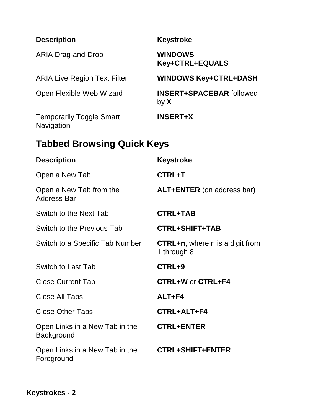| <b>Description</b>                            | <b>Keystroke</b>                                      |  |  |
|-----------------------------------------------|-------------------------------------------------------|--|--|
| <b>ARIA Drag-and-Drop</b>                     | <b>WINDOWS</b><br>Key+CTRL+EQUALS                     |  |  |
| <b>ARIA Live Region Text Filter</b>           | <b>WINDOWS Key+CTRL+DASH</b>                          |  |  |
| Open Flexible Web Wizard                      | <b>INSERT+SPACEBAR followed</b><br>by $X$             |  |  |
| <b>Temporarily Toggle Smart</b><br>Navigation | <b>INSERT+X</b>                                       |  |  |
| <b>Tabbed Browsing Quick Keys</b>             |                                                       |  |  |
| <b>Description</b>                            | <b>Keystroke</b>                                      |  |  |
| Open a New Tab                                | <b>CTRL+T</b>                                         |  |  |
| Open a New Tab from the<br><b>Address Bar</b> | <b>ALT+ENTER</b> (on address bar)                     |  |  |
| Switch to the Next Tab                        | <b>CTRL+TAB</b>                                       |  |  |
| Switch to the Previous Tab                    | <b>CTRL+SHIFT+TAB</b>                                 |  |  |
| Switch to a Specific Tab Number               | <b>CTRL+n, where n is a digit from</b><br>1 through 8 |  |  |
| <b>Switch to Last Tab</b>                     | CTRL+9                                                |  |  |
| <b>Close Current Tab</b>                      | <b>CTRL+W or CTRL+F4</b>                              |  |  |
| Close All Tabs                                | $ALT + F4$                                            |  |  |
| <b>Close Other Tabs</b>                       | CTRL+ALT+F4                                           |  |  |
| Open Links in a New Tab in the<br>Background  | <b>CTRL+ENTER</b>                                     |  |  |
| Open Links in a New Tab in the<br>Foreground  | <b>CTRL+SHIFT+ENTER</b>                               |  |  |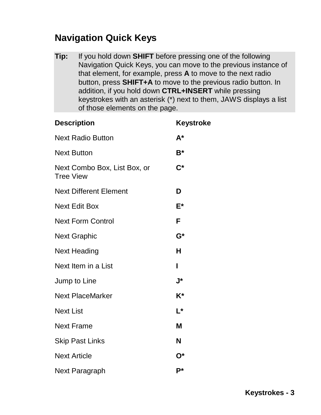## **Navigation Quick Keys**

**Tip:** If you hold down **SHIFT** before pressing one of the following Navigation Quick Keys, you can move to the previous instance of that element, for example, press **A** to move to the next radio button, press **SHIFT+A** to move to the previous radio button. In addition, if you hold down **CTRL+INSERT** while pressing keystrokes with an asterisk (\*) next to them, JAWS displays a list of those elements on the page.

| <b>Description</b>                               | <b>Keystroke</b>   |
|--------------------------------------------------|--------------------|
| <b>Next Radio Button</b>                         | $A^*$              |
| <b>Next Button</b>                               | $B^*$              |
| Next Combo Box, List Box, or<br><b>Tree View</b> | $\mathsf{C}^*$     |
| <b>Next Different Element</b>                    | D                  |
| <b>Next Edit Box</b>                             | E*                 |
| <b>Next Form Control</b>                         | F                  |
| <b>Next Graphic</b>                              | $\mathsf{G}^\star$ |
| <b>Next Heading</b>                              | н                  |
| Next Item in a List                              | ı                  |
| Jump to Line                                     | J*                 |
| <b>Next PlaceMarker</b>                          | $K^*$              |
| <b>Next List</b>                                 | $L^*$              |
| <b>Next Frame</b>                                | M                  |
| <b>Skip Past Links</b>                           | N                  |
| <b>Next Article</b>                              | $O^*$              |
| <b>Next Paragraph</b>                            | P*                 |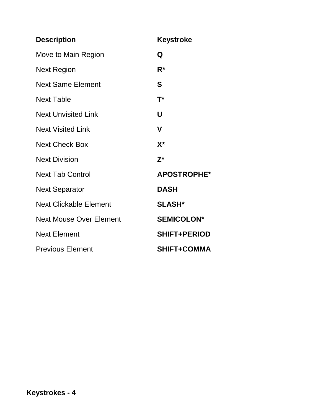| <b>Description</b>             | <b>Keystroke</b>    |
|--------------------------------|---------------------|
| Move to Main Region            | Q                   |
| Next Region                    | $R^*$               |
| <b>Next Same Element</b>       | S                   |
| <b>Next Table</b>              | $T^*$               |
| <b>Next Unvisited Link</b>     | U                   |
| <b>Next Visited Link</b>       | V                   |
| <b>Next Check Box</b>          | $X^*$               |
| <b>Next Division</b>           | $Z^*$               |
| <b>Next Tab Control</b>        | <b>APOSTROPHE*</b>  |
| <b>Next Separator</b>          | <b>DASH</b>         |
| <b>Next Clickable Element</b>  | <b>SLASH*</b>       |
| <b>Next Mouse Over Element</b> | <b>SEMICOLON*</b>   |
| <b>Next Element</b>            | <b>SHIFT+PERIOD</b> |
| <b>Previous Element</b>        | <b>SHIFT+COMMA</b>  |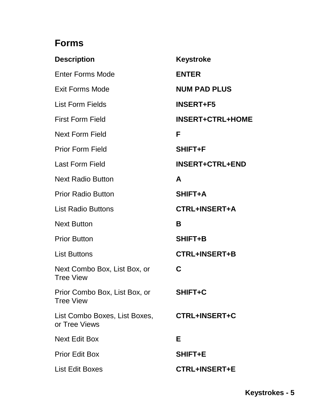# **Forms**

| <b>Description</b>                                | <b>Keystroke</b>        |
|---------------------------------------------------|-------------------------|
| <b>Enter Forms Mode</b>                           | <b>ENTER</b>            |
| <b>Exit Forms Mode</b>                            | <b>NUM PAD PLUS</b>     |
| <b>List Form Fields</b>                           | <b>INSERT+F5</b>        |
| <b>First Form Field</b>                           | <b>INSERT+CTRL+HOME</b> |
| <b>Next Form Field</b>                            | F                       |
| <b>Prior Form Field</b>                           | <b>SHIFT+F</b>          |
| <b>Last Form Field</b>                            | <b>INSERT+CTRL+END</b>  |
| <b>Next Radio Button</b>                          | A                       |
| <b>Prior Radio Button</b>                         | <b>SHIFT+A</b>          |
| <b>List Radio Buttons</b>                         | CTRL+INSERT+A           |
| <b>Next Button</b>                                | B                       |
| <b>Prior Button</b>                               | <b>SHIFT+B</b>          |
| <b>List Buttons</b>                               | <b>CTRL+INSERT+B</b>    |
| Next Combo Box, List Box, or<br><b>Tree View</b>  | C                       |
| Prior Combo Box, List Box, or<br><b>Tree View</b> | SHIFT+C                 |
| List Combo Boxes, List Boxes,<br>or Tree Views    | <b>CTRL+INSERT+C</b>    |
| <b>Next Edit Box</b>                              | Е                       |
| <b>Prior Edit Box</b>                             | <b>SHIFT+E</b>          |
| List Edit Boxes                                   | <b>CTRL+INSERT+E</b>    |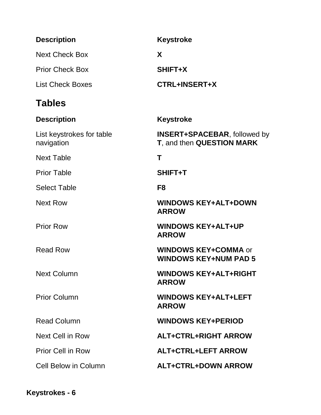| <b>Description</b>                      | <b>Keystroke</b>                                                 |
|-----------------------------------------|------------------------------------------------------------------|
| <b>Next Check Box</b>                   | X                                                                |
| <b>Prior Check Box</b>                  | SHIFT+X                                                          |
| <b>List Check Boxes</b>                 | <b>CTRL+INSERT+X</b>                                             |
| <b>Tables</b>                           |                                                                  |
| <b>Description</b>                      | Keystroke                                                        |
| List keystrokes for table<br>navigation | <b>INSERT+SPACEBAR, followed by</b><br>T, and then QUESTION MARK |
| <b>Next Table</b>                       | Т                                                                |
| <b>Prior Table</b>                      | SHIFT+T                                                          |
| <b>Select Table</b>                     | F <sub>8</sub>                                                   |
| <b>Next Row</b>                         | <b>WINDOWS KEY+ALT+DOWN</b><br><b>ARROW</b>                      |
| <b>Prior Row</b>                        | <b>WINDOWS KEY+ALT+UP</b><br><b>ARROW</b>                        |
| <b>Read Row</b>                         | <b>WINDOWS KEY+COMMA or</b><br><b>WINDOWS KEY+NUM PAD 5</b>      |
| <b>Next Column</b>                      | <b>WINDOWS KEY+ALT+RIGHT</b><br><b>ARROW</b>                     |
| <b>Prior Column</b>                     | <b>WINDOWS KEY+ALT+LEFT</b><br><b>ARROW</b>                      |
| <b>Read Column</b>                      | <b>WINDOWS KEY+PERIOD</b>                                        |
| Next Cell in Row                        | <b>ALT+CTRL+RIGHT ARROW</b>                                      |
| <b>Prior Cell in Row</b>                | <b>ALT+CTRL+LEFT ARROW</b>                                       |
| <b>Cell Below in Column</b>             | <b>ALT+CTRL+DOWN ARROW</b>                                       |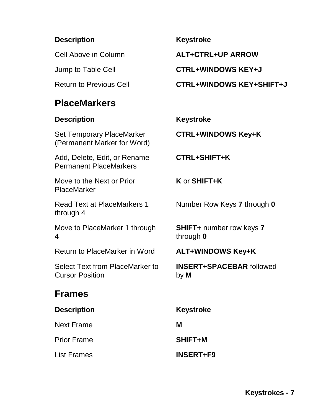### **Description Keystroke**

### **PlaceMarkers**

### **Description Keystroke**

Set Temporary PlaceMarker (Permanent Marker for Word)

Add, Delete, Edit, or Rename Permanent PlaceMarkers

Move to the Next or Prior PlaceMarker

Read Text at PlaceMarkers 1 through 4

Move to PlaceMarker 1 through 4

Return to PlaceMarker in Word **ALT+WINDOWS Key+K**

Select Text from PlaceMarker to Cursor Position

### **Frames**

| <b>Description</b> | <b>Keystroke</b> |
|--------------------|------------------|
| <b>Next Frame</b>  | М                |
| <b>Prior Frame</b> | <b>SHIFT+M</b>   |
| <b>List Frames</b> | <b>INSERT+F9</b> |

Cell Above in Column **ALT+CTRL+UP ARROW**

Jump to Table Cell **CTRL+WINDOWS KEY+J** 

Return to Previous Cell **CTRL+WINDOWS KEY+SHIFT+J** 

**CTRL+WINDOWS Key+K**

**CTRL+SHIFT+K**

**K** or **SHIFT+K**

Number Row Keys **7** through **0**

**SHIFT+** number row keys **7** through **0**

**INSERT+SPACEBAR** followed by **M**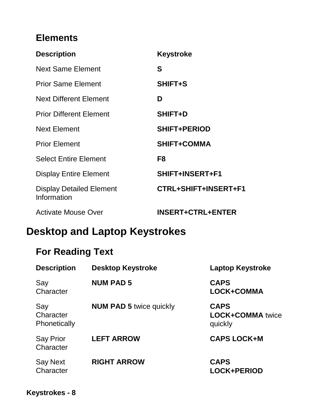## **Elements**

| <b>Description</b>                             | Keystroke                |
|------------------------------------------------|--------------------------|
| <b>Next Same Element</b>                       | S                        |
| <b>Prior Same Element</b>                      | <b>SHIFT+S</b>           |
| <b>Next Different Element</b>                  | D                        |
| <b>Prior Different Element</b>                 | <b>SHIFT+D</b>           |
| <b>Next Element</b>                            | <b>SHIFT+PERIOD</b>      |
| <b>Prior Element</b>                           | <b>SHIFT+COMMA</b>       |
| <b>Select Entire Element</b>                   | F8                       |
| <b>Display Entire Element</b>                  | SHIFT+INSERT+F1          |
| <b>Display Detailed Element</b><br>Information | CTRL+SHIFT+INSERT+F1     |
| <b>Activate Mouse Over</b>                     | <b>INSERT+CTRL+ENTER</b> |

# **Desktop and Laptop Keystrokes**

# **For Reading Text**

| <b>Description</b>               | <b>Desktop Keystroke</b>       | <b>Laptop Keystroke</b>                           |
|----------------------------------|--------------------------------|---------------------------------------------------|
| Say<br>Character                 | <b>NUM PAD 5</b>               | <b>CAPS</b><br>LOCK+COMMA                         |
| Say<br>Character<br>Phonetically | <b>NUM PAD 5 twice quickly</b> | <b>CAPS</b><br><b>LOCK+COMMA</b> twice<br>quickly |
| <b>Say Prior</b><br>Character    | <b>LEFT ARROW</b>              | <b>CAPS LOCK+M</b>                                |
| <b>Say Next</b><br>Character     | <b>RIGHT ARROW</b>             | <b>CAPS</b><br><b>LOCK+PERIOD</b>                 |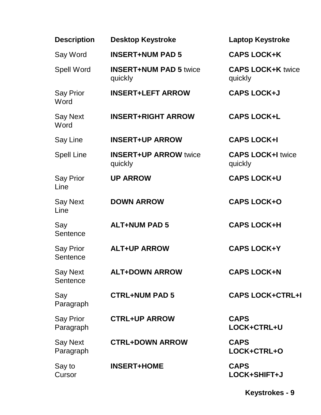| <b>Description</b>            | <b>Desktop Keystroke</b>                 | <b>Laptop Keystroke</b>             |
|-------------------------------|------------------------------------------|-------------------------------------|
| Say Word                      | <b>INSERT+NUM PAD 5</b>                  | <b>CAPS LOCK+K</b>                  |
| <b>Spell Word</b>             | <b>INSERT+NUM PAD 5 twice</b><br>quickly | <b>CAPS LOCK+K twice</b><br>quickly |
| <b>Say Prior</b><br>Word      | <b>INSERT+LEFT ARROW</b>                 | <b>CAPS LOCK+J</b>                  |
| <b>Say Next</b><br>Word       | <b>INSERT+RIGHT ARROW</b>                | <b>CAPS LOCK+L</b>                  |
| Say Line                      | <b>INSERT+UP ARROW</b>                   | <b>CAPS LOCK+I</b>                  |
| <b>Spell Line</b>             | <b>INSERT+UP ARROW twice</b><br>quickly  | <b>CAPS LOCK+I twice</b><br>quickly |
| <b>Say Prior</b><br>Line      | <b>UP ARROW</b>                          | <b>CAPS LOCK+U</b>                  |
| <b>Say Next</b><br>Line       | <b>DOWN ARROW</b>                        | <b>CAPS LOCK+O</b>                  |
| Say<br>Sentence               | <b>ALT+NUM PAD 5</b>                     | <b>CAPS LOCK+H</b>                  |
| <b>Say Prior</b><br>Sentence  | <b>ALT+UP ARROW</b>                      | <b>CAPS LOCK+Y</b>                  |
| <b>Say Next</b><br>Sentence   | <b>ALT+DOWN ARROW</b>                    | <b>CAPS LOCK+N</b>                  |
| Say<br>Paragraph              | <b>CTRL+NUM PAD 5</b>                    | <b>CAPS LOCK+CTRL+I</b>             |
| <b>Say Prior</b><br>Paragraph | <b>CTRL+UP ARROW</b>                     | <b>CAPS</b><br>LOCK+CTRL+U          |
| <b>Say Next</b><br>Paragraph  | <b>CTRL+DOWN ARROW</b>                   | <b>CAPS</b><br>LOCK+CTRL+O          |
| Say to<br>Cursor              | <b>INSERT+HOME</b>                       | <b>CAPS</b><br>LOCK+SHIFT+J         |

**Keystrokes - 9**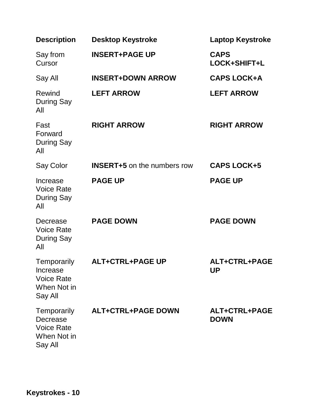| <b>Description</b>                                                            | <b>Desktop Keystroke</b>           | <b>Laptop Keystroke</b>      |
|-------------------------------------------------------------------------------|------------------------------------|------------------------------|
| Say from<br>Cursor                                                            | <b>INSERT+PAGE UP</b>              | <b>CAPS</b><br>LOCK+SHIFT+L  |
| Say All                                                                       | <b>INSERT+DOWN ARROW</b>           | <b>CAPS LOCK+A</b>           |
| Rewind<br><b>During Say</b><br>All                                            | <b>LEFT ARROW</b>                  | <b>LEFT ARROW</b>            |
| Fast<br>Forward<br><b>During Say</b><br>All                                   | <b>RIGHT ARROW</b>                 | <b>RIGHT ARROW</b>           |
| Say Color                                                                     | <b>INSERT+5</b> on the numbers row | <b>CAPS LOCK+5</b>           |
| Increase<br><b>Voice Rate</b><br>During Say<br>All                            | <b>PAGE UP</b>                     | <b>PAGE UP</b>               |
| Decrease<br><b>Voice Rate</b><br><b>During Say</b><br>All                     | <b>PAGE DOWN</b>                   | <b>PAGE DOWN</b>             |
| Temporarily<br><b>Increase</b><br><b>Voice Rate</b><br>When Not in<br>Say All | <b>ALT+CTRL+PAGE UP</b>            | ALT+CTRL+PAGE<br>UP          |
| Temporarily<br>Decrease<br><b>Voice Rate</b><br>When Not in<br>Say All        | <b>ALT+CTRL+PAGE DOWN</b>          | ALT+CTRL+PAGE<br><b>DOWN</b> |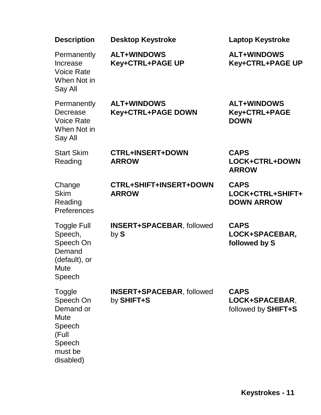| <b>Description</b>                                                                            | <b>Desktop Keystroke</b>                       | <b>Laptop Keystroke</b>                              |
|-----------------------------------------------------------------------------------------------|------------------------------------------------|------------------------------------------------------|
| Permanently<br>Increase<br><b>Voice Rate</b><br>When Not in<br>Say All                        | <b>ALT+WINDOWS</b><br>Key+CTRL+PAGE UP         | <b>ALT+WINDOWS</b><br>Key+CTRL+PAGE UP               |
| Permanently<br>Decrease<br><b>Voice Rate</b><br>When Not in<br>Say All                        | <b>ALT+WINDOWS</b><br>Key+CTRL+PAGE DOWN       | <b>ALT+WINDOWS</b><br>Key+CTRL+PAGE<br><b>DOWN</b>   |
| <b>Start Skim</b><br>Reading                                                                  | <b>CTRL+INSERT+DOWN</b><br><b>ARROW</b>        | <b>CAPS</b><br>LOCK+CTRL+DOWN<br><b>ARROW</b>        |
| Change<br><b>Skim</b><br>Reading<br>Preferences                                               | <b>CTRL+SHIFT+INSERT+DOWN</b><br><b>ARROW</b>  | <b>CAPS</b><br>LOCK+CTRL+SHIFT+<br><b>DOWN ARROW</b> |
| <b>Toggle Full</b><br>Speech,<br>Speech On<br>Demand<br>(default), or<br>Mute<br>Speech       | <b>INSERT+SPACEBAR, followed</b><br>by S       | <b>CAPS</b><br>LOCK+SPACEBAR,<br>followed by S       |
| Toggle<br>Speech On<br>Demand or<br>Mute<br>Speech<br>(Full<br>Speech<br>must be<br>disabled) | <b>INSERT+SPACEBAR, followed</b><br>by SHIFT+S | <b>CAPS</b><br>LOCK+SPACEBAR,<br>followed by SHIFT+S |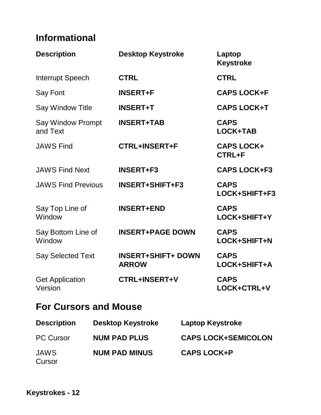# **Informational**

| <b>Description</b>                   | <b>Desktop Keystroke</b>                  | Laptop<br><b>Keystroke</b>         |
|--------------------------------------|-------------------------------------------|------------------------------------|
| <b>Interrupt Speech</b>              | <b>CTRL</b>                               | <b>CTRL</b>                        |
| Say Font                             | <b>INSERT+F</b>                           | <b>CAPS LOCK+F</b>                 |
| <b>Say Window Title</b>              | <b>INSERT+T</b>                           | <b>CAPS LOCK+T</b>                 |
| <b>Say Window Prompt</b><br>and Text | <b>INSERT+TAB</b>                         | <b>CAPS</b><br><b>LOCK+TAB</b>     |
| <b>JAWS Find</b>                     | <b>CTRL+INSERT+F</b>                      | <b>CAPS LOCK+</b><br><b>CTRL+F</b> |
| <b>JAWS Find Next</b>                | <b>INSERT+F3</b>                          | <b>CAPS LOCK+F3</b>                |
| <b>JAWS Find Previous</b>            | <b>INSERT+SHIFT+F3</b>                    | <b>CAPS</b><br>LOCK+SHIFT+F3       |
| Say Top Line of<br>Window            | <b>INSERT+END</b>                         | <b>CAPS</b><br>LOCK+SHIFT+Y        |
| Say Bottom Line of<br>Window         | <b>INSERT+PAGE DOWN</b>                   | <b>CAPS</b><br>LOCK+SHIFT+N        |
| <b>Say Selected Text</b>             | <b>INSERT+SHIFT+ DOWN</b><br><b>ARROW</b> | <b>CAPS</b><br>LOCK+SHIFT+A        |
| <b>Get Application</b><br>Version    | <b>CTRL+INSERT+V</b>                      | <b>CAPS</b><br>LOCK+CTRL+V         |

## **For Cursors and Mouse**

| <b>Description</b>    | <b>Desktop Keystroke</b> | <b>Laptop Keystroke</b>    |
|-----------------------|--------------------------|----------------------------|
| <b>PC Cursor</b>      | <b>NUM PAD PLUS</b>      | <b>CAPS LOCK+SEMICOLON</b> |
| <b>JAWS</b><br>Cursor | <b>NUM PAD MINUS</b>     | <b>CAPS LOCK+P</b>         |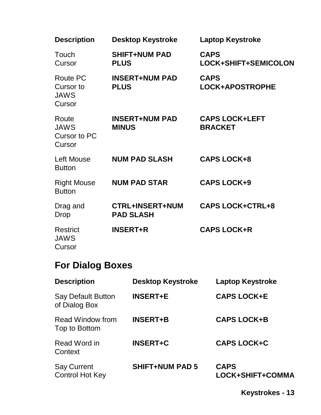| <b>Description</b>                                    | <b>Desktop Keystroke</b>                   | <b>Laptop Keystroke</b>                 |
|-------------------------------------------------------|--------------------------------------------|-----------------------------------------|
| Touch<br>Cursor                                       | <b>SHIFT+NUM PAD</b><br><b>PLUS</b>        | <b>CAPS</b><br>LOCK+SHIFT+SEMICOLON     |
| <b>Route PC</b><br>Cursor to<br><b>JAWS</b><br>Cursor | <b>INSERT+NUM PAD</b><br><b>PLUS</b>       | <b>CAPS</b><br>LOCK+APOSTROPHE          |
| Route<br><b>JAWS</b><br><b>Cursor to PC</b><br>Cursor | <b>INSERT+NUM PAD</b><br><b>MINUS</b>      | <b>CAPS LOCK+LEFT</b><br><b>BRACKET</b> |
| <b>Left Mouse</b><br><b>Button</b>                    | <b>NUM PAD SLASH</b>                       | <b>CAPS LOCK+8</b>                      |
| <b>Right Mouse</b><br><b>Button</b>                   | <b>NUM PAD STAR</b>                        | <b>CAPS LOCK+9</b>                      |
| Drag and<br>Drop                                      | <b>CTRL+INSERT+NUM</b><br><b>PAD SLASH</b> | <b>CAPS LOCK+CTRL+8</b>                 |
| <b>Restrict</b><br><b>JAWS</b><br>Cursor              | <b>INSERT+R</b>                            | <b>CAPS LOCK+R</b>                      |

# **For Dialog Boxes**

| <b>Description</b>                           | <b>Desktop Keystroke</b> | <b>Laptop Keystroke</b>         |
|----------------------------------------------|--------------------------|---------------------------------|
| <b>Say Default Button</b><br>of Dialog Box   | <b>INSERT+E</b>          | <b>CAPS LOCK+E</b>              |
| Read Window from<br>Top to Bottom            | <b>INSERT+B</b>          | <b>CAPS LOCK+B</b>              |
| Read Word in<br>Context                      | <b>INSERT+C</b>          | <b>CAPS LOCK+C</b>              |
| <b>Say Current</b><br><b>Control Hot Key</b> | <b>SHIFT+NUM PAD 5</b>   | <b>CAPS</b><br>LOCK+SHIFT+COMMA |

**Keystrokes - 13**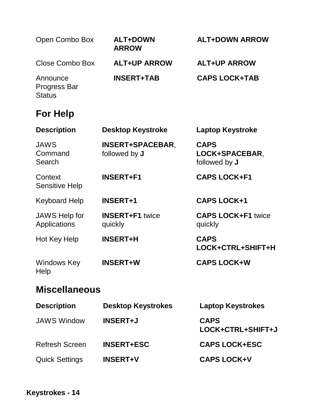| Open Combo Box                                   | <b>ALT+DOWN</b><br><b>ARROW</b>          | <b>ALT+DOWN ARROW</b>                          |
|--------------------------------------------------|------------------------------------------|------------------------------------------------|
| Close Combo Box                                  | <b>ALT+UP ARROW</b>                      | <b>ALT+UP ARROW</b>                            |
| Announce<br><b>Progress Bar</b><br><b>Status</b> | <b>INSERT+TAB</b>                        | <b>CAPS LOCK+TAB</b>                           |
| <b>For Help</b>                                  |                                          |                                                |
| <b>Description</b>                               | <b>Desktop Keystroke</b>                 | <b>Laptop Keystroke</b>                        |
| <b>JAWS</b><br>Command<br>Search                 | <b>INSERT+SPACEBAR,</b><br>followed by J | <b>CAPS</b><br>LOCK+SPACEBAR,<br>followed by J |
| Context<br><b>Sensitive Help</b>                 | <b>INSERT+F1</b>                         | <b>CAPS LOCK+F1</b>                            |
| <b>Keyboard Help</b>                             | <b>INSERT+1</b>                          | <b>CAPS LOCK+1</b>                             |
| <b>JAWS Help for</b><br>Applications             | <b>INSERT+F1</b> twice<br>quickly        | <b>CAPS LOCK+F1 twice</b><br>quickly           |
| Hot Key Help                                     | <b>INSERT+H</b>                          | <b>CAPS</b><br>LOCK+CTRL+SHIFT+H               |
| Windows Key<br>Help                              | <b>INSERT+W</b>                          | <b>CAPS LOCK+W</b>                             |

## **Miscellaneous**

| <b>Description</b>    | <b>Desktop Keystrokes</b> | <b>Laptop Keystrokes</b>         |
|-----------------------|---------------------------|----------------------------------|
| <b>JAWS Window</b>    | <b>INSERT+J</b>           | <b>CAPS</b><br>LOCK+CTRL+SHIFT+J |
| <b>Refresh Screen</b> | <b>INSERT+ESC</b>         | <b>CAPS LOCK+ESC</b>             |
| <b>Quick Settings</b> | <b>INSERT+V</b>           | <b>CAPS LOCK+V</b>               |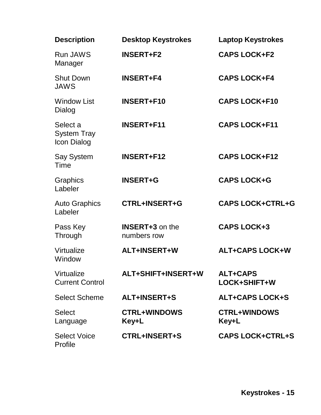| <b>Description</b>                            | <b>Desktop Keystrokes</b>             | <b>Laptop Keystrokes</b>        |
|-----------------------------------------------|---------------------------------------|---------------------------------|
| <b>Run JAWS</b><br>Manager                    | <b>INSERT+F2</b>                      | <b>CAPS LOCK+F2</b>             |
| <b>Shut Down</b><br><b>JAWS</b>               | <b>INSERT+F4</b>                      | <b>CAPS LOCK+F4</b>             |
| <b>Window List</b><br>Dialog                  | <b>INSERT+F10</b>                     | <b>CAPS LOCK+F10</b>            |
| Select a<br><b>System Tray</b><br>Icon Dialog | <b>INSERT+F11</b>                     | <b>CAPS LOCK+F11</b>            |
| Say System<br>Time                            | <b>INSERT+F12</b>                     | <b>CAPS LOCK+F12</b>            |
| Graphics<br>Labeler                           | <b>INSERT+G</b>                       | <b>CAPS LOCK+G</b>              |
| <b>Auto Graphics</b><br>Labeler               | <b>CTRL+INSERT+G</b>                  | <b>CAPS LOCK+CTRL+G</b>         |
| Pass Key<br>Through                           | <b>INSERT+3</b> on the<br>numbers row | <b>CAPS LOCK+3</b>              |
| Virtualize<br>Window                          | ALT+INSERT+W                          | <b>ALT+CAPS LOCK+W</b>          |
| Virtualize<br><b>Current Control</b>          | ALT+SHIFT+INSERT+W                    | <b>ALT+CAPS</b><br>LOCK+SHIFT+W |
| <b>Select Scheme</b>                          | <b>ALT+INSERT+S</b>                   | <b>ALT+CAPS LOCK+S</b>          |
| <b>Select</b><br>Language                     | <b>CTRL+WINDOWS</b><br>Key+L          | <b>CTRL+WINDOWS</b><br>Key+L    |
| <b>Select Voice</b><br>Profile                | <b>CTRL+INSERT+S</b>                  | <b>CAPS LOCK+CTRL+S</b>         |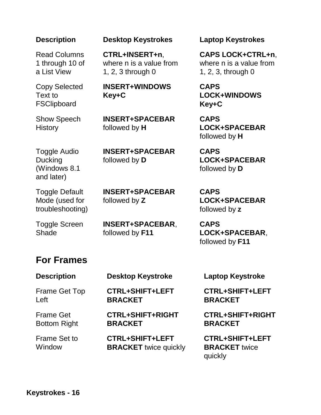Read Columns 1 through 10 of a List View

Copy Selected Text to **FSClipboard** 

Show Speech

**History** 

**Description Desktop Keystrokes Laptop Keystrokes**

**CTRL+INSERT+n**, where n is a value from 1, 2, 3 through 0

**INSERT+WINDOWS Key+C**

**INSERT+SPACEBAR** followed by **H**

**INSERT+SPACEBAR**

followed by **D**

followed by **Z**

Toggle Audio Ducking (Windows 8.1 and later)

Toggle Default Mode (used for troubleshooting)

Toggle Screen **Shade** 

**INSERT+SPACEBAR**,

**BRACKET** twice quickly

**INSERT+SPACEBAR**

followed by **F11**

### **For Frames**

**Description Desktop Keystroke Laptop Keystroke** Frame Get Top Left **CTRL+SHIFT+LEFT BRACKET** Frame Get Bottom Right **CTRL+SHIFT+RIGHT BRACKET** Frame Set to **CTRL+SHIFT+LEFT** 

**CTRL+SHIFT+LEFT BRACKET**

**CTRL+SHIFT+RIGHT BRACKET**

**CTRL+SHIFT+LEFT BRACKET** twice quickly

**CAPS LOCK+CTRL+n**, where n is a value from 1, 2, 3, through 0

**CAPS LOCK+WINDOWS Key+C**

**CAPS LOCK+SPACEBAR** followed by **H**

**CAPS LOCK+SPACEBAR** followed by **D**

**CAPS LOCK+SPACEBAR** followed by **z**

**CAPS LOCK+SPACEBAR**, followed by **F11**

**Window**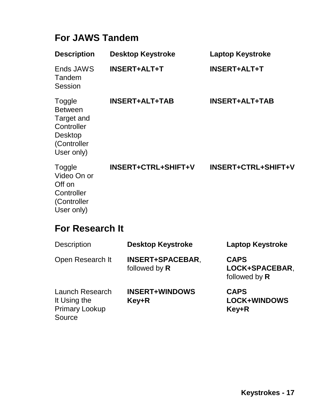# **For JAWS Tandem**

| <b>Description</b>                                                                                  | <b>Desktop Keystroke</b>   | <b>Laptop Keystroke</b>    |
|-----------------------------------------------------------------------------------------------------|----------------------------|----------------------------|
| Ends JAWS<br>Tandem<br>Session                                                                      | <b>INSERT+ALT+T</b>        | <b>INSERT+ALT+T</b>        |
| Toggle<br><b>Between</b><br>Target and<br>Controller<br><b>Desktop</b><br>(Controller<br>User only) | <b>INSERT+ALT+TAB</b>      | <b>INSERT+ALT+TAB</b>      |
| Toggle<br>Video On or<br>Off on<br>Controller<br>(Controller<br>User only)                          | <b>INSERT+CTRL+SHIFT+V</b> | <b>INSERT+CTRL+SHIFT+V</b> |
| <b>For Research It</b>                                                                              |                            |                            |
| <b>Description</b>                                                                                  | <b>Desktop Keystroke</b>   | Laptop Keystroke           |

| Description                                                               | <b>DESKIOP NEVSTFOKE</b>                 | Laptop Reystroke                               |
|---------------------------------------------------------------------------|------------------------------------------|------------------------------------------------|
| Open Research It                                                          | <b>INSERT+SPACEBAR,</b><br>followed by R | <b>CAPS</b><br>LOCK+SPACEBAR,<br>followed by R |
| <b>Launch Research</b><br>It Using the<br><b>Primary Lookup</b><br>Source | <b>INSERT+WINDOWS</b><br>Key+R           | <b>CAPS</b><br><b>LOCK+WINDOWS</b><br>Key+R    |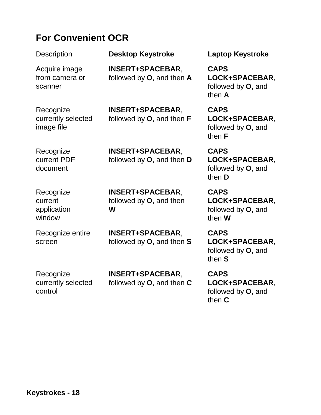### **For Convenient OCR**

Description **Desktop Keystroke Laptop Keystroke** Acquire image from camera or scanner **INSERT+SPACEBAR**, followed by **O**, and then **A CAPS LOCK+SPACEBAR**, followed by **O**, and then **A Recognize** currently selected image file **INSERT+SPACEBAR**, followed by **O**, and then **F CAPS LOCK+SPACEBAR**, followed by **O**, and then **F Recognize** current PDF document **INSERT+SPACEBAR**, followed by **O**, and then **D CAPS LOCK+SPACEBAR**, followed by **O**, and then **D** Recognize current application window **INSERT+SPACEBAR**, followed by **O**, and then **W CAPS LOCK+SPACEBAR**, followed by **O**, and then **W** Recognize entire screen **INSERT+SPACEBAR**, followed by **O**, and then **S CAPS LOCK+SPACEBAR**, followed by **O**, and then **S Recognize INSERT+SPACEBAR**, **CAPS** 

followed by **O**, and then **C**

**LOCK+SPACEBAR**, followed by **O**, and then **C**

currently selected

control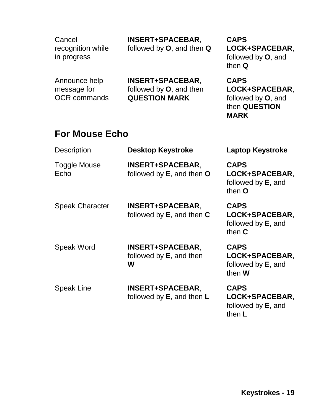**Cancel** recognition while in progress

### **INSERT+SPACEBAR**,

followed by **O**, and then **Q**

Announce help message for OCR commands **INSERT+SPACEBAR**, followed by **O**, and then **QUESTION MARK**

**CAPS LOCK+SPACEBAR**, followed by **O**, and then **Q**

**CAPS LOCK+SPACEBAR**, followed by **O**, and then **QUESTION MARK**

### **For Mouse Echo**

| <b>Description</b>          | <b>Desktop Keystroke</b>                                   | <b>Laptop Keystroke</b>                                                 |
|-----------------------------|------------------------------------------------------------|-------------------------------------------------------------------------|
| <b>Toggle Mouse</b><br>Echo | <b>INSERT+SPACEBAR,</b><br>followed by E, and then O       | <b>CAPS</b><br>LOCK+SPACEBAR,<br>followed by <b>E</b> , and<br>then O   |
| <b>Speak Character</b>      | <b>INSERT+SPACEBAR,</b><br>followed by $E$ , and then $C$  | <b>CAPS</b><br>LOCK+SPACEBAR,<br>followed by <b>E</b> , and<br>then $C$ |
| <b>Speak Word</b>           | <b>INSERT+SPACEBAR,</b><br>followed by $E$ , and then<br>W | <b>CAPS</b><br>LOCK+SPACEBAR,<br>followed by <b>E</b> , and<br>then W   |
| <b>Speak Line</b>           | <b>INSERT+SPACEBAR,</b><br>followed by $E$ , and then $L$  | <b>CAPS</b><br>LOCK+SPACEBAR,<br>followed by <b>E</b> , and<br>then L   |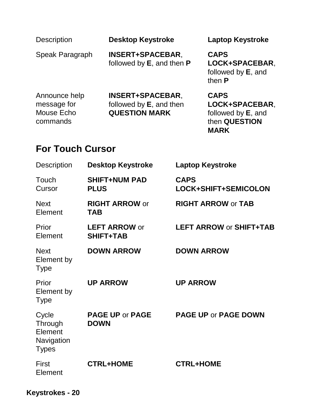Description **Desktop Keystroke Laptop Keystroke**

Speak Paragraph **INSERT+SPACEBAR**, followed by **E**, and then **P**

**CAPS LOCK+SPACEBAR**, followed by **E**, and then **P**

Announce help message for Mouse Echo commands

**INSERT+SPACEBAR**, followed by **E**, and then **QUESTION MARK**

**CAPS LOCK+SPACEBAR**, followed by **E**, and then **QUESTION MARK**

### **For Touch Cursor**

| <b>Description</b>                                        | <b>Desktop Keystroke</b>                 | <b>Laptop Keystroke</b>             |
|-----------------------------------------------------------|------------------------------------------|-------------------------------------|
| Touch<br>Cursor                                           | <b>SHIFT+NUM PAD</b><br><b>PLUS</b>      | <b>CAPS</b><br>LOCK+SHIFT+SEMICOLON |
| <b>Next</b><br>Element                                    | <b>RIGHT ARROW or</b><br><b>TAB</b>      | <b>RIGHT ARROW or TAB</b>           |
| Prior<br>Element                                          | <b>LEFT ARROW or</b><br><b>SHIFT+TAB</b> | <b>LEFT ARROW or SHIFT+TAB</b>      |
| <b>Next</b><br>Element by<br><b>Type</b>                  | <b>DOWN ARROW</b>                        | <b>DOWN ARROW</b>                   |
| Prior<br>Element by<br><b>Type</b>                        | <b>UP ARROW</b>                          | <b>UP ARROW</b>                     |
| Cycle<br>Through<br>Element<br>Navigation<br><b>Types</b> | <b>PAGE UP or PAGE</b><br><b>DOWN</b>    | <b>PAGE UP or PAGE DOWN</b>         |
| <b>First</b><br>Element                                   | <b>CTRL+HOME</b>                         | <b>CTRL+HOME</b>                    |

**Keystrokes - 20**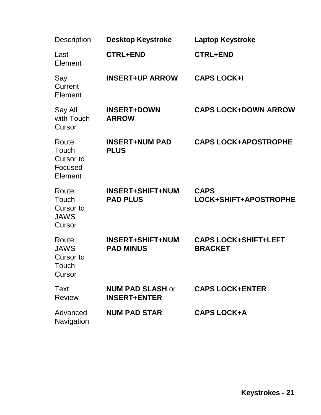| <b>Description</b>                                   | <b>Desktop Keystroke</b>                       | <b>Laptop Keystroke</b>                       |
|------------------------------------------------------|------------------------------------------------|-----------------------------------------------|
| Last<br>Element                                      | <b>CTRL+END</b>                                | <b>CTRL+END</b>                               |
| Say<br>Current<br>Element                            | <b>INSERT+UP ARROW</b>                         | <b>CAPS LOCK+I</b>                            |
| Say All<br>with Touch<br>Cursor                      | <b>INSERT+DOWN</b><br><b>ARROW</b>             | <b>CAPS LOCK+DOWN ARROW</b>                   |
| Route<br>Touch<br>Cursor to<br>Focused<br>Element    | <b>INSERT+NUM PAD</b><br><b>PLUS</b>           | <b>CAPS LOCK+APOSTROPHE</b>                   |
| Route<br>Touch<br>Cursor to<br><b>JAWS</b><br>Cursor | <b>INSERT+SHIFT+NUM</b><br><b>PAD PLUS</b>     | <b>CAPS</b><br>LOCK+SHIFT+APOSTROPHE          |
| Route<br><b>JAWS</b><br>Cursor to<br>Touch<br>Cursor | <b>INSERT+SHIFT+NUM</b><br><b>PAD MINUS</b>    | <b>CAPS LOCK+SHIFT+LEFT</b><br><b>BRACKET</b> |
| Text<br><b>Review</b>                                | <b>NUM PAD SLASH or</b><br><b>INSERT+ENTER</b> | <b>CAPS LOCK+ENTER</b>                        |
| Advanced<br>Navigation                               | <b>NUM PAD STAR</b>                            | <b>CAPS LOCK+A</b>                            |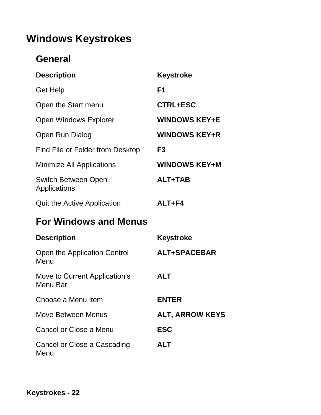# **Windows Keystrokes**

### **General**

| <b>Description</b>                         | <b>Keystroke</b>     |
|--------------------------------------------|----------------------|
| <b>Get Help</b>                            | F <sub>1</sub>       |
| Open the Start menu                        | <b>CTRL+ESC</b>      |
| <b>Open Windows Explorer</b>               | <b>WINDOWS KEY+E</b> |
| Open Run Dialog                            | <b>WINDOWS KEY+R</b> |
| Find File or Folder from Desktop           | F <sub>3</sub>       |
| <b>Minimize All Applications</b>           | <b>WINDOWS KEY+M</b> |
| <b>Switch Between Open</b><br>Applications | <b>ALT+TAB</b>       |
| Quit the Active Application                | ALT+F4               |

# **For Windows and Menus**

| <b>Description</b>                        | <b>Keystroke</b>       |
|-------------------------------------------|------------------------|
| Open the Application Control<br>Menu      | ALT+SPACEBAR           |
| Move to Current Application's<br>Menu Bar | <b>ALT</b>             |
| Choose a Menu Item                        | <b>ENTER</b>           |
| Move Between Menus                        | <b>ALT, ARROW KEYS</b> |
| Cancel or Close a Menu                    | <b>ESC</b>             |
| Cancel or Close a Cascading<br>Menu       | <b>ALT</b>             |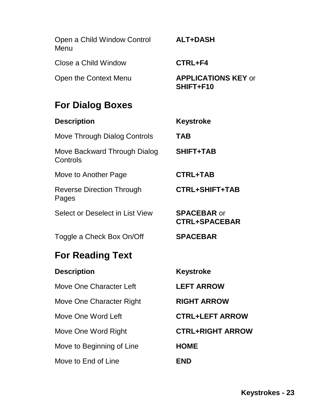| Open a Child Window Control<br>Menu       | <b>ALT+DASH</b>                            |
|-------------------------------------------|--------------------------------------------|
| Close a Child Window                      | CTRL+F4                                    |
| Open the Context Menu                     | <b>APPLICATIONS KEY or</b><br>SHIFT+F10    |
| <b>For Dialog Boxes</b>                   |                                            |
| <b>Description</b>                        | <b>Keystroke</b>                           |
| <b>Move Through Dialog Controls</b>       | <b>TAB</b>                                 |
| Move Backward Through Dialog<br>Controls  | <b>SHIFT+TAB</b>                           |
| Move to Another Page                      | <b>CTRL+TAB</b>                            |
| <b>Reverse Direction Through</b><br>Pages | <b>CTRL+SHIFT+TAB</b>                      |
| Select or Deselect in List View           | <b>SPACEBAR or</b><br><b>CTRL+SPACEBAR</b> |
| Toggle a Check Box On/Off                 | <b>SPACEBAR</b>                            |
| <b>For Reading Text</b>                   |                                            |
| <b>Description</b>                        | Keystroke                                  |
| Move One Character Left                   | <b>LEFT ARROW</b>                          |
| Move One Character Right                  | <b>RIGHT ARROW</b>                         |
| Move One Word Left                        | <b>CTRL+LEFT ARROW</b>                     |
| Move One Word Right                       | <b>CTRL+RIGHT ARROW</b>                    |
| Move to Beginning of Line                 | <b>HOME</b>                                |
| Move to End of Line                       | <b>END</b>                                 |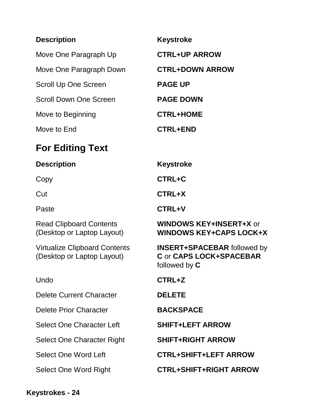| <b>Description</b>            | <b>Keystroke</b>       |
|-------------------------------|------------------------|
| Move One Paragraph Up         | <b>CTRL+UP ARROW</b>   |
| Move One Paragraph Down       | <b>CTRL+DOWN ARROW</b> |
| Scroll Up One Screen          | <b>PAGE UP</b>         |
| <b>Scroll Down One Screen</b> | <b>PAGE DOWN</b>       |
| Move to Beginning             | <b>CTRL+HOME</b>       |
| Move to End                   | <b>CTRL+END</b>        |

# **For Editing Text**

| <b>Description</b>                                                 | <b>Keystroke</b>                                                               |
|--------------------------------------------------------------------|--------------------------------------------------------------------------------|
| Copy                                                               | <b>CTRL+C</b>                                                                  |
| Cut                                                                | <b>CTRL+X</b>                                                                  |
| Paste                                                              | <b>CTRL+V</b>                                                                  |
| <b>Read Clipboard Contents</b><br>(Desktop or Laptop Layout)       | <b>WINDOWS KEY+INSERT+X or</b><br><b>WINDOWS KEY+CAPS LOCK+X</b>               |
| <b>Virtualize Clipboard Contents</b><br>(Desktop or Laptop Layout) | <b>INSERT+SPACEBAR followed by</b><br>C or CAPS LOCK+SPACEBAR<br>followed by C |
| Undo                                                               | CTRL+Z                                                                         |
| <b>Delete Current Character</b>                                    | <b>DELETE</b>                                                                  |
| <b>Delete Prior Character</b>                                      | <b>BACKSPACE</b>                                                               |
| <b>Select One Character Left</b>                                   | <b>SHIFT+LEFT ARROW</b>                                                        |
| Select One Character Right                                         | <b>SHIFT+RIGHT ARROW</b>                                                       |
| <b>Select One Word Left</b>                                        | <b>CTRL+SHIFT+LEFT ARROW</b>                                                   |
| Select One Word Right                                              | <b>CTRL+SHIFT+RIGHT ARROW</b>                                                  |
|                                                                    |                                                                                |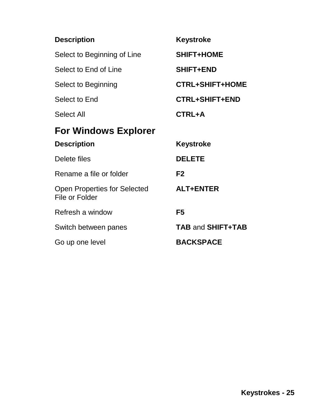| <b>Description</b>                                    | <b>Keystroke</b>         |
|-------------------------------------------------------|--------------------------|
| Select to Beginning of Line                           | <b>SHIFT+HOME</b>        |
| Select to End of Line                                 | <b>SHIFT+END</b>         |
| Select to Beginning                                   | <b>CTRL+SHIFT+HOME</b>   |
| Select to End                                         | <b>CTRL+SHIFT+END</b>    |
| Select All                                            | CTRL+A                   |
| <b>For Windows Explorer</b>                           |                          |
| <b>Description</b>                                    | <b>Keystroke</b>         |
| Delete files                                          | <b>DELETE</b>            |
| Rename a file or folder                               | F <sub>2</sub>           |
| <b>Open Properties for Selected</b><br>File or Folder | <b>ALT+ENTER</b>         |
| Refresh a window                                      | F <sub>5</sub>           |
| Switch between panes                                  | <b>TAB and SHIFT+TAB</b> |
| Go up one level                                       | <b>BACKSPACE</b>         |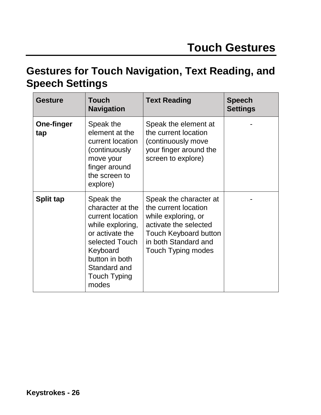# **Gestures for Touch Navigation, Text Reading, and Speech Settings**

| <b>Gesture</b>    | <b>Touch</b><br><b>Navigation</b>                                                                                                                                                        | <b>Text Reading</b>                                                                                                                                                                 | <b>Speech</b><br><b>Settings</b> |
|-------------------|------------------------------------------------------------------------------------------------------------------------------------------------------------------------------------------|-------------------------------------------------------------------------------------------------------------------------------------------------------------------------------------|----------------------------------|
| One-finger<br>tap | Speak the<br>element at the<br>current location<br>(continuously<br>move your<br>finger around<br>the screen to<br>explore)                                                              | Speak the element at<br>the current location<br>(continuously move<br>your finger around the<br>screen to explore)                                                                  |                                  |
| Split tap         | Speak the<br>character at the<br>current location<br>while exploring,<br>or activate the<br>selected Touch<br>Keyboard<br>button in both<br>Standard and<br><b>Touch Typing</b><br>modes | Speak the character at<br>the current location<br>while exploring, or<br>activate the selected<br><b>Touch Keyboard button</b><br>in both Standard and<br><b>Touch Typing modes</b> |                                  |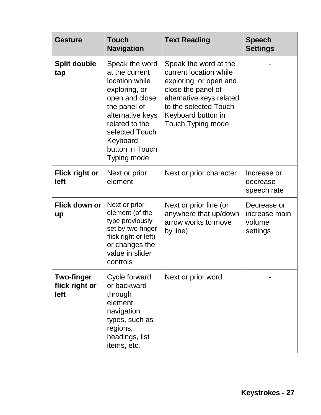| <b>Gesture</b>                              | <b>Touch</b><br><b>Navigation</b>                                                                                                                                                                           | <b>Text Reading</b>                                                                                                                                                                                    | <b>Speech</b><br><b>Settings</b>                   |
|---------------------------------------------|-------------------------------------------------------------------------------------------------------------------------------------------------------------------------------------------------------------|--------------------------------------------------------------------------------------------------------------------------------------------------------------------------------------------------------|----------------------------------------------------|
| <b>Split double</b><br>tap                  | Speak the word<br>at the current<br>location while<br>exploring, or<br>open and close<br>the panel of<br>alternative keys<br>related to the<br>selected Touch<br>Keyboard<br>button in Touch<br>Typing mode | Speak the word at the<br>current location while<br>exploring, or open and<br>close the panel of<br>alternative keys related<br>to the selected Touch<br>Keyboard button in<br><b>Touch Typing mode</b> |                                                    |
| <b>Flick right or</b><br>left               | Next or prior<br>element                                                                                                                                                                                    | Next or prior character                                                                                                                                                                                | Increase or<br>decrease<br>speech rate             |
| Flick down or<br>up                         | Next or prior<br>element (of the<br>type previously<br>set by two-finger<br>flick right or left)<br>or changes the<br>value in slider<br>controls                                                           | Next or prior line (or<br>anywhere that up/down<br>arrow works to move<br>by line)                                                                                                                     | Decrease or<br>increase main<br>volume<br>settings |
| <b>Two-finger</b><br>flick right or<br>left | Cycle forward<br>or backward<br>through<br>element<br>navigation<br>types, such as<br>regions,<br>headings, list<br>items, etc.                                                                             | Next or prior word                                                                                                                                                                                     |                                                    |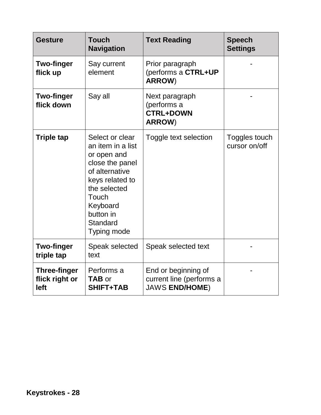| <b>Gesture</b>                                | <b>Touch</b><br><b>Navigation</b>                                                                                                                                                               | <b>Text Reading</b>                                                      | <b>Speech</b><br><b>Settings</b> |
|-----------------------------------------------|-------------------------------------------------------------------------------------------------------------------------------------------------------------------------------------------------|--------------------------------------------------------------------------|----------------------------------|
| <b>Two-finger</b><br>flick up                 | Say current<br>element                                                                                                                                                                          | Prior paragraph<br>(performs a CTRL+UP<br><b>ARROW)</b>                  |                                  |
| <b>Two-finger</b><br>flick down               | Say all                                                                                                                                                                                         | Next paragraph<br>(performs a<br><b>CTRL+DOWN</b><br><b>ARROW)</b>       |                                  |
| <b>Triple tap</b>                             | Select or clear<br>an item in a list<br>or open and<br>close the panel<br>of alternative<br>keys related to<br>the selected<br>Touch<br>Keyboard<br>button in<br><b>Standard</b><br>Typing mode | Toggle text selection                                                    | Toggles touch<br>cursor on/off   |
| <b>Two-finger</b><br>triple tap               | Speak selected<br>text                                                                                                                                                                          | Speak selected text                                                      |                                  |
| <b>Three-finger</b><br>flick right or<br>left | Performs a<br><b>TAB or</b><br><b>SHIFT+TAB</b>                                                                                                                                                 | End or beginning of<br>current line (performs a<br><b>JAWS END/HOME)</b> |                                  |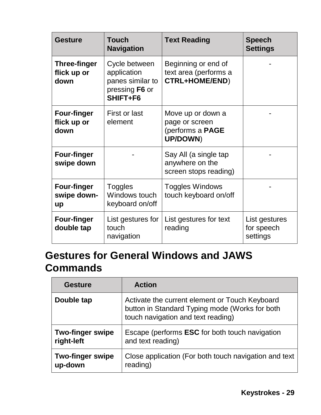| <b>Gesture</b>                             | <b>Touch</b><br><b>Navigation</b>                                              | <b>Text Reading</b>                                                        | <b>Speech</b><br><b>Settings</b>        |
|--------------------------------------------|--------------------------------------------------------------------------------|----------------------------------------------------------------------------|-----------------------------------------|
| <b>Three-finger</b><br>flick up or<br>down | Cycle between<br>application<br>panes similar to<br>pressing F6 or<br>SHIFT+F6 | Beginning or end of<br>text area (performs a<br><b>CTRL+HOME/END)</b>      |                                         |
| <b>Four-finger</b><br>flick up or<br>down  | First or last<br>element                                                       | Move up or down a<br>page or screen<br>(performs a PAGE<br><b>UP/DOWN)</b> |                                         |
| <b>Four-finger</b><br>swipe down           |                                                                                | Say All (a single tap<br>anywhere on the<br>screen stops reading)          |                                         |
| <b>Four-finger</b><br>swipe down-<br>up    | <b>Toggles</b><br>Windows touch<br>keyboard on/off                             | <b>Toggles Windows</b><br>touch keyboard on/off                            |                                         |
| <b>Four-finger</b><br>double tap           | List gestures for<br>touch<br>navigation                                       | List gestures for text<br>reading                                          | List gestures<br>for speech<br>settings |

# **Gestures for General Windows and JAWS Commands**

| <b>Gesture</b>          | <b>Action</b>                                                                                                                          |
|-------------------------|----------------------------------------------------------------------------------------------------------------------------------------|
| Double tap              | Activate the current element or Touch Keyboard<br>button in Standard Typing mode (Works for both<br>touch navigation and text reading) |
| <b>Two-finger swipe</b> | Escape (performs <b>ESC</b> for both touch navigation                                                                                  |
| right-left              | and text reading)                                                                                                                      |
| <b>Two-finger swipe</b> | Close application (For both touch navigation and text                                                                                  |
| up-down                 | reading)                                                                                                                               |